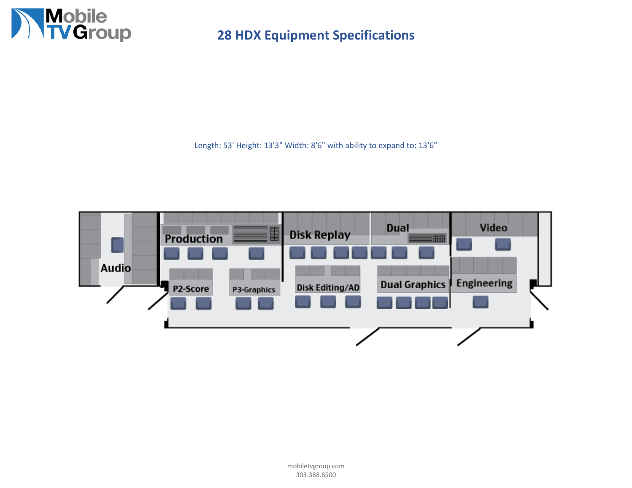

Length: 53' Height: 13'3" Width: 8'6" with ability to expand to: 13'6"